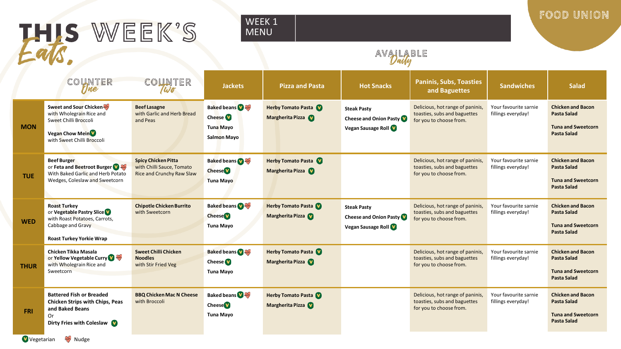FOOD UNION

# HIS WEEK'S

### WEEK<sub>1</sub> MENU

### AVALABLE

|             | COUNTER<br>rine                                                                                                                           | COUNTER<br>Wo                                                                        | <b>Jackets</b>                                                                             | <b>Pizza and Pasta</b>                        | <b>Hot Snacks</b>                                                                  | <b>Paninis, Subs, Toasties</b><br>and Baguettes                                             | <b>Sandwiches</b>                           | <b>Salad</b>                                                                                      |
|-------------|-------------------------------------------------------------------------------------------------------------------------------------------|--------------------------------------------------------------------------------------|--------------------------------------------------------------------------------------------|-----------------------------------------------|------------------------------------------------------------------------------------|---------------------------------------------------------------------------------------------|---------------------------------------------|---------------------------------------------------------------------------------------------------|
| <b>MON</b>  | Sweet and Sour Chicken<br>with Wholegrain Rice and<br>Sweet Chilli Broccoli<br>Vegan Chow Mein <sup>V</sup><br>with Sweet Chilli Broccoli | <b>Beef Lasagne</b><br>with Garlic and Herb Bread<br>and Peas                        | <b>Baked beans Of AMP</b><br>Cheese <sup>V</sup><br><b>Tuna Mayo</b><br><b>Salmon Mayo</b> | <b>Herby Tomato Pasta</b><br>Margherita Pizza | <b>Steak Pasty</b><br><b>Cheese and Onion Pasty</b><br><b>Vegan Sausage Roll V</b> | Delicious, hot range of paninis,<br>toasties, subs and baguettes<br>for you to choose from. | Your favourite sarnie<br>fillings everyday! | <b>Chicken and Bacon</b><br><b>Pasta Salad</b><br><b>Tuna and Sweetcorn</b><br><b>Pasta Salad</b> |
| <b>TUE</b>  | <b>Beef Burger</b><br>or Feta and Beetroot Burger<br>With Baked Garlic and Herb Potato<br>Wedges, Coleslaw and Sweetcorn                  | <b>Spicy Chicken Pitta</b><br>with Chilli Sauce, Tomato<br>Rice and Crunchy Raw Slaw | <b>Baked beans ONE</b><br><b>Cheese</b><br><b>Tuna Mayo</b>                                | <b>Herby Tomato Pasta</b><br>Margherita Pizza |                                                                                    | Delicious, hot range of paninis,<br>toasties, subs and baguettes<br>for you to choose from. | Your favourite sarnie<br>fillings everyday! | <b>Chicken and Bacon</b><br><b>Pasta Salad</b><br><b>Tuna and Sweetcorn</b><br><b>Pasta Salad</b> |
| <b>WED</b>  | <b>Roast Turkey</b><br>or Vegetable Pastry Slice<br>with Roast Potatoes, Carrots,<br>Cabbage and Gravy<br><b>Roast Turkey Yorkie Wrap</b> | <b>Chipotle Chicken Burrito</b><br>with Sweetcorn                                    | <b>Baked beans WWW</b><br><b>Cheese</b><br><b>Tuna Mayo</b>                                | <b>Herby Tomato Pasta</b><br>Margherita Pizza | <b>Steak Pasty</b><br><b>Cheese and Onion Pasty</b><br>Vegan Sausage Roll          | Delicious, hot range of paninis,<br>toasties, subs and baguettes<br>for you to choose from. | Your favourite sarnie<br>fillings everyday! | <b>Chicken and Bacon</b><br>Pasta Salad<br><b>Tuna and Sweetcorn</b><br><b>Pasta Salad</b>        |
| <b>THUR</b> | Chicken Tikka Masala<br>or Yellow Vegetable Curry<br>with Wholegrain Rice and<br>Sweetcorn                                                | <b>Sweet Chilli Chicken</b><br><b>Noodles</b><br>with Stir Fried Veg                 | <b>Baked beans OWW</b><br><b>Cheese</b><br><b>Tuna Mayo</b>                                | <b>Herby Tomato Pasta</b><br>Margherita Pizza |                                                                                    | Delicious, hot range of paninis,<br>toasties, subs and baguettes<br>for you to choose from. | Your favourite sarnie<br>fillings everyday! | <b>Chicken and Bacon</b><br><b>Pasta Salad</b><br><b>Tuna and Sweetcorn</b><br><b>Pasta Salad</b> |
| <b>FRI</b>  | <b>Battered Fish or Breaded</b><br><b>Chicken Strips with Chips, Peas</b><br>and Baked Beans<br>Or<br>Dirty Fries with Coleslaw           | <b>BBQ Chicken Mac N Cheese</b><br>with Broccoli                                     | <b>Baked beans</b><br><b>Cheese</b><br><b>Tuna Mayo</b>                                    | <b>Herby Tomato Pasta</b><br>Margherita Pizza |                                                                                    | Delicious, hot range of paninis,<br>toasties, subs and baguettes<br>for you to choose from. | Your favourite sarnie<br>fillings everyday! | <b>Chicken and Bacon</b><br><b>Pasta Salad</b><br><b>Tuna and Sweetcorn</b><br><b>Pasta Salad</b> |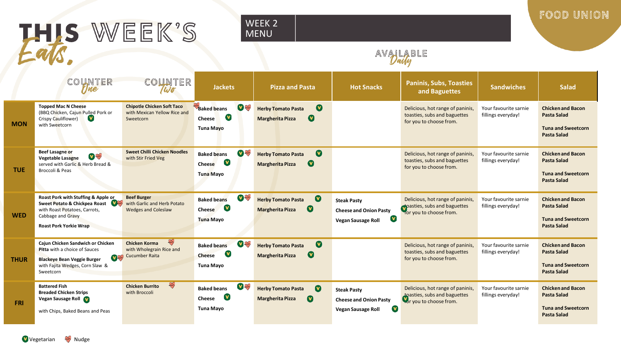## HIS WEEK'S

#### WEEK 2 MENU

FOOD UNION

## AVALABLE

|             | COUNTER<br>Tine                                                                                                                                             | UNTER<br>Wo                                                                        | <b>Jackets</b>                                                                            | <b>Pizza and Pasta</b>                                                                       | <b>Hot Snacks</b>                                                                               | <b>Paninis, Subs, Toasties</b><br>and Baguettes                                             | <b>Sandwiches</b>                           | <b>Salad</b>                                                                                      |
|-------------|-------------------------------------------------------------------------------------------------------------------------------------------------------------|------------------------------------------------------------------------------------|-------------------------------------------------------------------------------------------|----------------------------------------------------------------------------------------------|-------------------------------------------------------------------------------------------------|---------------------------------------------------------------------------------------------|---------------------------------------------|---------------------------------------------------------------------------------------------------|
| <b>MON</b>  | <b>Topped Mac N Cheese</b><br>(BBQ Chicken, Cajun Pulled Pork or<br>Crispy Cauliflower)<br>V)<br>with Sweetcorn                                             | <b>Chipotle Chicken Soft Taco</b><br>with Mexican Yellow Rice and<br>Sweetcorn     | <b>DE SANTA</b><br><b>Baked beans</b><br>$\mathbf v$<br><b>Cheese</b><br><b>Tuna Mayo</b> | $\bullet$<br><b>Herby Tomato Pasta</b><br>$\bullet$<br><b>Margherita Pizza</b>               |                                                                                                 | Delicious, hot range of paninis,<br>toasties, subs and baguettes<br>for you to choose from. | Your favourite sarnie<br>fillings everyday! | <b>Chicken and Bacon</b><br><b>Pasta Salad</b><br><b>Tuna and Sweetcorn</b><br><b>Pasta Salad</b> |
| <b>TUE</b>  | <b>Beef Lasagne or</b><br>V<br>Vegetable Lasagne<br>served with Garlic & Herb Bread &<br>Broccoli & Peas                                                    | Sweet Chilli Chicken Noodles<br>with Stir Fried Veg                                | <b>V</b> And<br><b>Baked beans</b><br>$\bullet$<br>Cheese<br><b>Tuna Mayo</b>             | $\boldsymbol{\Omega}$<br><b>Herby Tomato Pasta</b><br>$\bullet$<br><b>Margherita Pizza</b>   |                                                                                                 | Delicious, hot range of paninis,<br>toasties, subs and baguettes<br>for you to choose from. | Your favourite sarnie<br>fillings everyday! | <b>Chicken and Bacon</b><br><b>Pasta Salad</b><br><b>Tuna and Sweetcorn</b><br><b>Pasta Salad</b> |
| <b>WED</b>  | Roast Pork with Stuffing & Apple or<br>Sweet Potato & Chickpea Roast<br>with Roast Potatoes, Carrots,<br>Cabbage and Gravy<br><b>Roast Pork Yorkie Wrap</b> | <b>Beef Burger</b><br>with Garlic and Herb Potato<br><b>Wedges and Coleslaw</b>    | <b>V</b> And<br><b>Baked beans</b><br><b>V</b><br>Cheese<br><b>Tuna Mayo</b>              | $\bullet$<br><b>Herby Tomato Pasta</b><br>$\bullet$<br><b>Margherita Pizza</b>               | <b>Steak Pasty</b><br><b>Cheese and Onion Pasty</b><br>$\mathbf v$<br><b>Vegan Sausage Roll</b> | Delicious, hot range of paninis,<br>poasties, subs and baguettes<br>for you to choose from. | Your favourite sarnie<br>fillings everyday! | <b>Chicken and Bacon</b><br>Pasta Salad<br><b>Tuna and Sweetcorn</b><br><b>Pasta Salad</b>        |
| <b>THUR</b> | Cajun Chicken Sandwich or Chicken<br>Pitta with a choice of Sauces<br><b>Blackeye Bean Veggie Burger</b><br>with Fajita Wedges, Corn Slaw &<br>Sweetcorn    | $\mathbb{R}$<br><b>Chicken Korma</b><br>with Wholegrain Rice and<br>Cucumber Raita | <b>V</b><br><b>Baked beans</b><br><b>V</b><br><b>Cheese</b><br><b>Tuna Mayo</b>           | $\boldsymbol{\Omega}$<br><b>Herby Tomato Pasta</b><br>$\mathbf U$<br><b>Margherita Pizza</b> |                                                                                                 | Delicious, hot range of paninis,<br>toasties, subs and baguettes<br>for you to choose from. | Your favourite sarnie<br>fillings everyday! | <b>Chicken and Bacon</b><br><b>Pasta Salad</b><br><b>Tuna and Sweetcorn</b><br><b>Pasta Salad</b> |
| <b>FRI</b>  | <b>Battered Fish</b><br><b>Breaded Chicken Strips</b><br>Vegan Sausage Roll<br>with Chips, Baked Beans and Peas                                             | $\mathbb{R}$<br><b>Chicken Burrito</b><br>with Broccoli                            | <b>V</b> And<br><b>Baked beans</b><br>$\mathbf{v}$<br>Cheese<br><b>Tuna Mayo</b>          | $\bullet$<br><b>Herby Tomato Pasta</b><br>$\bullet$<br><b>Margherita Pizza</b>               | <b>Steak Pasty</b><br><b>Cheese and Onion Pasty</b><br>$\mathbf v$<br>Vegan Sausage Roll        | Delicious, hot range of paninis,<br>toasties, subs and baguettes<br>For you to choose from. | Your favourite sarnie<br>fillings everyday! | <b>Chicken and Bacon</b><br><b>Pasta Salad</b><br><b>Tuna and Sweetcorn</b><br><b>Pasta Salad</b> |